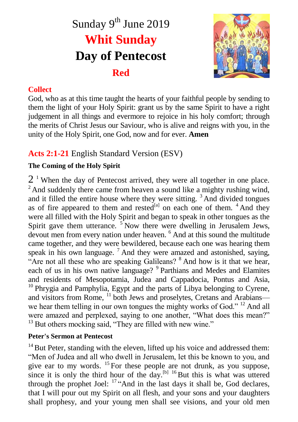# Sunday 9<sup>th</sup> June 2019 **Whit Sunday Day of Pentecost Red**



### **Collect**

God, who as at this time taught the hearts of your faithful people by sending to them the light of your Holy Spirit: grant us by the same Spirit to have a right judgement in all things and evermore to rejoice in his holy comfort; through the merits of Christ Jesus our Saviour, who is alive and reigns with you, in the unity of the Holy Spirit, one God, now and for ever. **Amen**

# **Acts 2:1-21** English Standard Version (ESV)

## **The Coming of the Holy Spirit**

 $2<sup>1</sup>$  When the day of Pentecost arrived, they were all together in one place.  $2^2$  And suddenly there came from heaven a sound like a mighty rushing wind, and it filled the entire house where they were sitting. <sup>3</sup> And divided tongues as of fire appeared to them and rested<sup>[a]</sup> on each one of them.  $4$  And they were all filled with the Holy Spirit and began to speak in other tongues as the Spirit gave them utterance.  $5\$ Now there were dwelling in Jerusalem Jews, devout men from every nation under heaven. <sup>6</sup> And at this sound the multitude came together, and they were bewildered, because each one was hearing them speak in his own language.<sup>7</sup> And they were amazed and astonished, saying, "Are not all these who are speaking Galileans? <sup>8</sup> And how is it that we hear, each of us in his own native language? <sup>9</sup> Parthians and Medes and Elamites and residents of Mesopotamia, Judea and Cappadocia, Pontus and Asia,  $10$  Phrygia and Pamphylia, Egypt and the parts of Libya belonging to Cyrene, and visitors from Rome, <sup>11</sup> both Jews and proselytes, Cretans and Arabians we hear them telling in our own tongues the mighty works of God." <sup>12</sup> And all were amazed and perplexed, saying to one another, "What does this mean?" <sup>13</sup> But others mocking said, "They are filled with new wine."

#### **Peter's Sermon at Pentecost**

 $14$  But Peter, standing with the eleven, lifted up his voice and addressed them: "Men of Judea and all who dwell in Jerusalem, let this be known to you, and give ear to my words.  $^{15}$  For these people are not drunk, as you suppose, since it is only the third hour of the day.<sup>[b] 16</sup>But this is what was uttered through the prophet Joel:  $17$  "And in the last days it shall be, God declares, that I will pour out my Spirit on all flesh, and your sons and your daughters shall prophesy, and your young men shall see visions, and your old men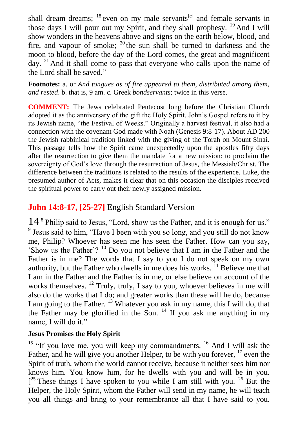shall dream dreams;  $^{18}$  even on my male servants<sup>[c]</sup> and female servants in those days I will pour out my Spirit, and they shall prophesy. <sup>19</sup> And I will show wonders in the heavens above and signs on the earth below, blood, and fire, and vapour of smoke;  $^{20}$  the sun shall be turned to darkness and the moon to blood, before the day of the Lord comes, the great and magnificent day. <sup>21</sup> And it shall come to pass that everyone who calls upon the name of the Lord shall be saved."

**Footnotes:** a. or *And tongues as of fire appeared to them, distributed among them, and rested*. b. that is, 9 am. c. Greek *bondservants*; twice in this verse.

**COMMENT:** The Jews celebrated Pentecost long before the Christian Church adopted it as the anniversary of the gift the Holy Spirit. John's Gospel refers to it by its Jewish name, "the Festival of Weeks." Originally a harvest festival, it also had a connection with the covenant God made with Noah (Genesis 9:8-17). About AD 200 the Jewish rabbinical tradition linked with the giving of the Torah on Mount Sinai. This passage tells how the Spirit came unexpectedly upon the apostles fifty days after the resurrection to give them the mandate for a new mission: to proclaim the sovereignty of God's love through the resurrection of Jesus, the Messiah/Christ. The difference between the traditions is related to the results of the experience. Luke, the presumed author of Acts, makes it clear that on this occasion the disciples received the spiritual power to carry out their newly assigned mission.

## **John 14:8-17, [25-27]** English Standard Version

14 <sup>8</sup> Philip said to Jesus, "Lord, show us the Father, and it is enough for us." <sup>9</sup> Jesus said to him, "Have I been with you so long, and you still do not know me, Philip? Whoever has seen me has seen the Father. How can you say, 'Show us the Father'? <sup>10</sup> Do you not believe that I am in the Father and the Father is in me? The words that I say to you I do not speak on my own authority, but the Father who dwells in me does his works.  $\hat{I}$ <sup>1</sup> Believe me that I am in the Father and the Father is in me, or else believe on account of the works themselves. <sup>12</sup> Truly, truly, I say to you, whoever believes in me will also do the works that I do; and greater works than these will he do, because I am going to the Father. <sup>13</sup> Whatever you ask in my name, this I will do, that the Father may be glorified in the Son.  $14$  If you ask me anything in my name, I will do it."

### **Jesus Promises the Holy Spirit**

<sup>15</sup> "If you love me, you will keep my commandments.<sup>16</sup> And I will ask the Father, and he will give you another Helper, to be with you forever,  $17$  even the Spirit of truth, whom the world cannot receive, because it neither sees him nor knows him. You know him, for he dwells with you and will be in you.  $[$ <sup>25</sup> These things I have spoken to you while I am still with you. <sup>26</sup> But the Helper, the Holy Spirit, whom the Father will send in my name, he will teach you all things and bring to your remembrance all that I have said to you.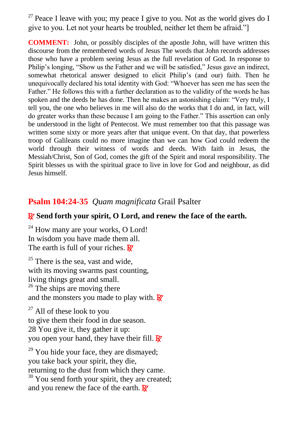$27$  Peace I leave with you; my peace I give to you. Not as the world gives do I give to you. Let not your hearts be troubled, neither let them be afraid."]

**COMMENT:** John, or possibly disciples of the apostle John, will have written this discourse from the remembered words of Jesus The words that John records addresses those who have a problem seeing Jesus as the full revelation of God. In response to Philip's longing, "Show us the Father and we will be satisfied," Jesus gave an indirect, somewhat rhetorical answer designed to elicit Philip's (and our) faith. Then he unequivocally declared his total identity with God: "Whoever has seen me has seen the Father." He follows this with a further declaration as to the validity of the words he has spoken and the deeds he has done. Then he makes an astonishing claim: "Very truly, I tell you, the one who believes in me will also do the works that I do and, in fact, will do greater works than these because I am going to the Father." This assertion can only be understood in the light of Pentecost. We must remember too that this passage was written some sixty or more years after that unique event. On that day, that powerless troop of Galileans could no more imagine than we can how God could redeem the world through their witness of words and deeds. With faith in Jesus, the Messiah/Christ, Son of God, comes the gift of the Spirit and moral responsibility. The Spirit blesses us with the spiritual grace to live in love for God and neighbour, as did Jesus himself.

## **Psalm 104:24-35** *Quam magnificata* Grail Psalter

#### R **Send forth your spirit, O Lord, and renew the face of the earth.**

 $24$  How many are your works, O Lord! In wisdom you have made them all. The earth is full of your riches.  $\mathbf{R}^{\prime}$ 

 $25$  There is the sea, vast and wide, with its moving swarms past counting, living things great and small.  $26$  The ships are moving there and the monsters you made to play with.  $\mathbf{R}'$ 

 $27$  All of these look to you to give them their food in due season. 28 You give it, they gather it up: you open your hand, they have their fill.  $\mathbb{R}^7$ 

 $29$  You hide your face, they are dismayed; you take back your spirit, they die, returning to the dust from which they came.  $30$  You send forth your spirit, they are created; and you renew the face of the earth.  $\mathbf{R}^{\prime}$